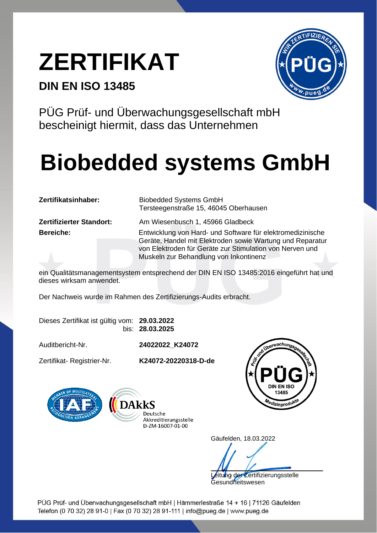## **ZERTIFIKAT**

#### **DIN EN ISO 13485**



PÜG Prüf- und Überwachungsgesellschaft mbH bescheinigt hiermit, dass das Unternehmen

## **Biobedded systems GmbH**

**Zertifizierter Standort:** Am Wiesenbusch 1, 45966 Gladbeck

**Zertifikatsinhaber:** Biobedded Systems GmbH Tersteegenstraße 15, 46045 Oberhausen

**Bereiche:** Entwicklung von Hard- und Software für elektromedizinische Geräte, Handel mit Elektroden sowie Wartung und Reparatur von Elektroden für Geräte zur Stimulation von Nerven und Muskeln zur Behandlung von Inkontinenz

ein Qualitätsmanagementsystem entsprechend der DIN EN ISO 13485:2016 eingeführt hat und dieses wirksam anwendet.

Der Nachweis wurde im Rahmen des Zertifizierungs-Audits erbracht.

|  |  | Dieses Zertifikat ist gültig vom: 29.03.2022 |
|--|--|----------------------------------------------|
|  |  | bis: 28.03.2025                              |

Auditbericht-Nr. **24022022\_K24072**

Zertifikat- Registrier-Nr. **K24072-20220318-D-de**







Gäufelden, 18.03.2022

itung der Zertifizierungsstelle

**Gesundheitswesen** 

PÜG Prüf- und Überwachungsgesellschaft mbH | Hämmerlestraße 14 + 16 | 71126 Gäufelden Telefon (0 70 32) 28 91-0 | Fax (0 70 32) 28 91-111 | info@pueg.de | www.pueg.de